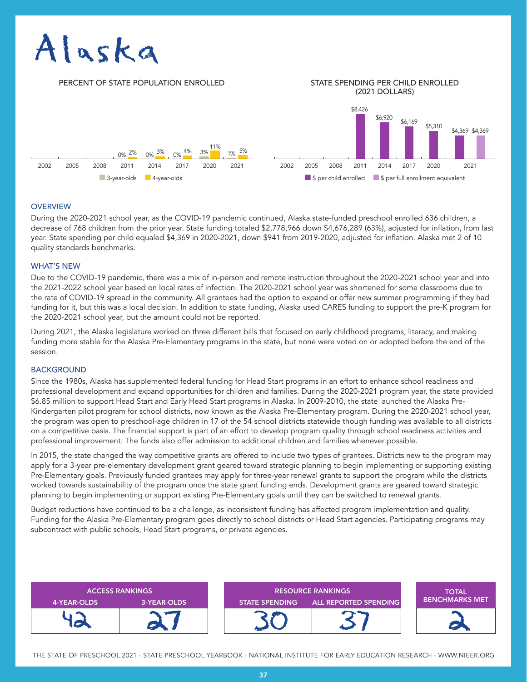# Alaska

## PERCENT OF STATE POPULATION ENROLLED STATE SPENDING PER CHILD ENROLLED

# (2021 DOLLARS)



#### **OVERVIEW**

During the 2020-2021 school year, as the COVID-19 pandemic continued, Alaska state-funded preschool enrolled 636 children, a decrease of 768 children from the prior year. State funding totaled \$2,778,966 down \$4,676,289 (63%), adjusted for inflation, from last year. State spending per child equaled \$4,369 in 2020-2021, down \$941 from 2019-2020, adjusted for inflation. Alaska met 2 of 10 quality standards benchmarks.

#### WHAT'S NEW

Due to the COVID-19 pandemic, there was a mix of in-person and remote instruction throughout the 2020-2021 school year and into the 2021-2022 school year based on local rates of infection. The 2020-2021 school year was shortened for some classrooms due to the rate of COVID-19 spread in the community. All grantees had the option to expand or offer new summer programming if they had funding for it, but this was a local decision. In addition to state funding, Alaska used CARES funding to support the pre-K program for the 2020-2021 school year, but the amount could not be reported.

During 2021, the Alaska legislature worked on three different bills that focused on early childhood programs, literacy, and making funding more stable for the Alaska Pre-Elementary programs in the state, but none were voted on or adopted before the end of the session.

## BACKGROUND

Since the 1980s, Alaska has supplemented federal funding for Head Start programs in an effort to enhance school readiness and professional development and expand opportunities for children and families. During the 2020-2021 program year, the state provided \$6.85 million to support Head Start and Early Head Start programs in Alaska. In 2009-2010, the state launched the Alaska Pre-Kindergarten pilot program for school districts, now known as the Alaska Pre-Elementary program. During the 2020-2021 school year, the program was open to preschool-age children in 17 of the 54 school districts statewide though funding was available to all districts on a competitive basis. The financial support is part of an effort to develop program quality through school readiness activities and professional improvement. The funds also offer admission to additional children and families whenever possible.

In 2015, the state changed the way competitive grants are offered to include two types of grantees. Districts new to the program may apply for a 3-year pre-elementary development grant geared toward strategic planning to begin implementing or supporting existing Pre-Elementary goals. Previously funded grantees may apply for three-year renewal grants to support the program while the districts worked towards sustainability of the program once the state grant funding ends. Development grants are geared toward strategic planning to begin implementing or support existing Pre-Elementary goals until they can be switched to renewal grants.

Budget reductions have continued to be a challenge, as inconsistent funding has affected program implementation and quality. Funding for the Alaska Pre-Elementary program goes directly to school districts or Head Start agencies. Participating programs may subcontract with public schools, Head Start programs, or private agencies.



THE STATE OF PRESCHOOL 2021 - STATE PRESCHOOL YEARBOOK - NATIONAL INSTITUTE FOR EARLY EDUCATION RESEARCH - WWW.NIEER.ORG